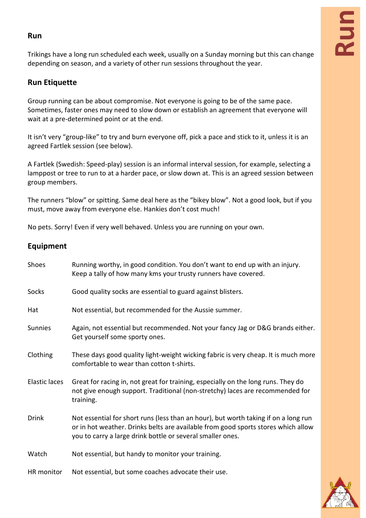## **Run**

## **Run**

Trikings have a long run scheduled each week, usually on a Sunday morning but this can change depending on season, and a variety of other run sessions throughout the year.

## **Run Etiquette**

Group running can be about compromise. Not everyone is going to be of the same pace. Sometimes, faster ones may need to slow down or establish an agreement that everyone will wait at a pre-determined point or at the end.

It isn't very "group-like" to try and burn everyone off, pick a pace and stick to it, unless it is an agreed Fartlek session (see below).

A Fartlek (Swedish: Speed-play) session is an informal interval session, for example, selecting a lamppost or tree to run to at a harder pace, or slow down at. This is an agreed session between group members.

The runners "blow" or spitting. Same deal here as the "bikey blow". Not a good look, but if you must, move away from everyone else. Hankies don't cost much!

No pets. Sorry! Even if very well behaved. Unless you are running on your own.

## **Equipment**

| Shoes          | Running worthy, in good condition. You don't want to end up with an injury.<br>Keep a tally of how many kms your trusty runners have covered.                                                                                          |
|----------------|----------------------------------------------------------------------------------------------------------------------------------------------------------------------------------------------------------------------------------------|
| Socks          | Good quality socks are essential to guard against blisters.                                                                                                                                                                            |
| Hat            | Not essential, but recommended for the Aussie summer.                                                                                                                                                                                  |
| <b>Sunnies</b> | Again, not essential but recommended. Not your fancy Jag or D&G brands either.<br>Get yourself some sporty ones.                                                                                                                       |
| Clothing       | These days good quality light-weight wicking fabric is very cheap. It is much more<br>comfortable to wear than cotton t-shirts.                                                                                                        |
| Elastic laces  | Great for racing in, not great for training, especially on the long runs. They do<br>not give enough support. Traditional (non-stretchy) laces are recommended for<br>training.                                                        |
| <b>Drink</b>   | Not essential for short runs (less than an hour), but worth taking if on a long run<br>or in hot weather. Drinks belts are available from good sports stores which allow<br>you to carry a large drink bottle or several smaller ones. |
| Watch          | Not essential, but handy to monitor your training.                                                                                                                                                                                     |
| HR monitor     | Not essential, but some coaches advocate their use.                                                                                                                                                                                    |